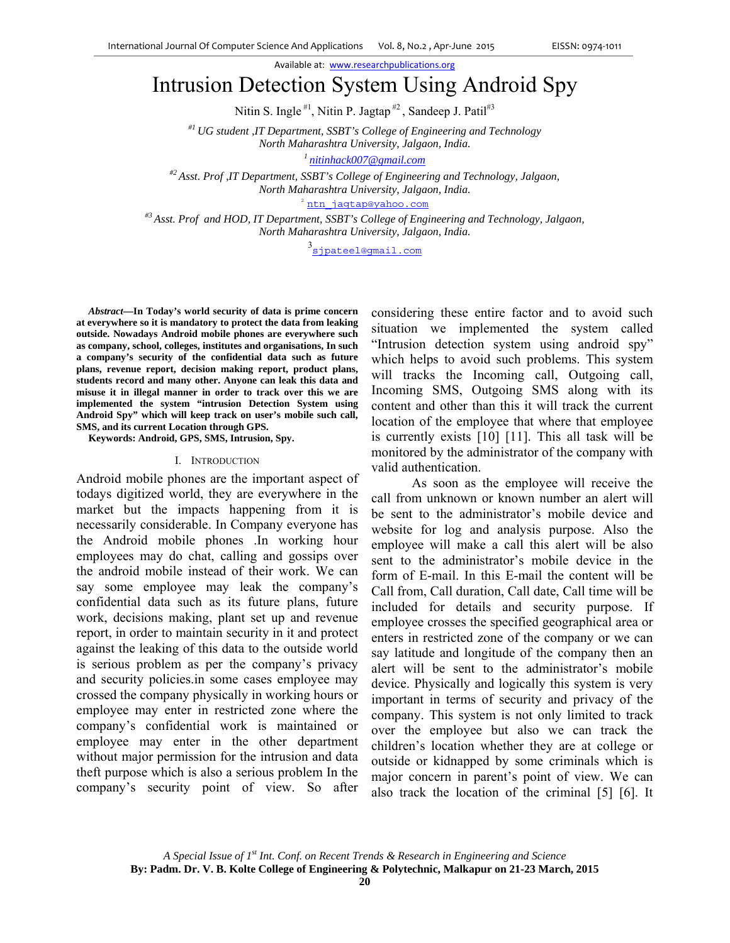Available at: www.researchpublications.org

# Intrusion Detection System Using Android Spy

Nitin S. Ingle  $\sharp$ <sup>1</sup>, Nitin P. Jagtap  $\sharp$ <sup>2</sup>, Sandeep J. Patil<sup> $\sharp$ 3</sup>

*#1 UG student ,IT Department, SSBT's College of Engineering and Technology North Maharashtra University, Jalgaon, India. 1 nitinhack007@gmail.com*

*#2 Asst. Prof ,IT Department, SSBT's College of Engineering and Technology, Jalgaon, North Maharashtra University, Jalgaon, India.* 

<sup>2</sup> ntn jagtap@yahoo.com

*#3 Asst. Prof and HOD, IT Department, SSBT's College of Engineering and Technology, Jalgaon, North Maharashtra University, Jalgaon, India.* 

3<br><u>sipateel@qmail.com</u>

*Abstract***—In Today's world security of data is prime concern at everywhere so it is mandatory to protect the data from leaking outside. Nowadays Android mobile phones are everywhere such as company, school, colleges, institutes and organisations, In such a company's security of the confidential data such as future plans, revenue report, decision making report, product plans, students record and many other. Anyone can leak this data and misuse it in illegal manner in order to track over this we are implemented the system "intrusion Detection System using Android Spy" which will keep track on user's mobile such call, SMS, and its current Location through GPS.** 

**Keywords: Android, GPS, SMS, Intrusion, Spy.** 

#### I. INTRODUCTION

Android mobile phones are the important aspect of todays digitized world, they are everywhere in the market but the impacts happening from it is necessarily considerable. In Company everyone has the Android mobile phones .In working hour employees may do chat, calling and gossips over the android mobile instead of their work. We can say some employee may leak the company's confidential data such as its future plans, future work, decisions making, plant set up and revenue report, in order to maintain security in it and protect against the leaking of this data to the outside world is serious problem as per the company's privacy and security policies.in some cases employee may crossed the company physically in working hours or employee may enter in restricted zone where the company's confidential work is maintained or employee may enter in the other department without major permission for the intrusion and data theft purpose which is also a serious problem In the company's security point of view. So after

considering these entire factor and to avoid such situation we implemented the system called "Intrusion detection system using android spy" which helps to avoid such problems. This system will tracks the Incoming call, Outgoing call, Incoming SMS, Outgoing SMS along with its content and other than this it will track the current location of the employee that where that employee is currently exists [10] [11]. This all task will be monitored by the administrator of the company with valid authentication.

 As soon as the employee will receive the call from unknown or known number an alert will be sent to the administrator's mobile device and website for log and analysis purpose. Also the employee will make a call this alert will be also sent to the administrator's mobile device in the form of E-mail. In this E-mail the content will be Call from, Call duration, Call date, Call time will be included for details and security purpose. If employee crosses the specified geographical area or enters in restricted zone of the company or we can say latitude and longitude of the company then an alert will be sent to the administrator's mobile device. Physically and logically this system is very important in terms of security and privacy of the company. This system is not only limited to track over the employee but also we can track the children's location whether they are at college or outside or kidnapped by some criminals which is major concern in parent's point of view. We can also track the location of the criminal [5] [6]. It

*A Special Issue of 1st Int. Conf. on Recent Trends & Research in Engineering and Science*  **By: Padm. Dr. V. B. Kolte College of Engineering & Polytechnic, Malkapur on 21-23 March, 2015**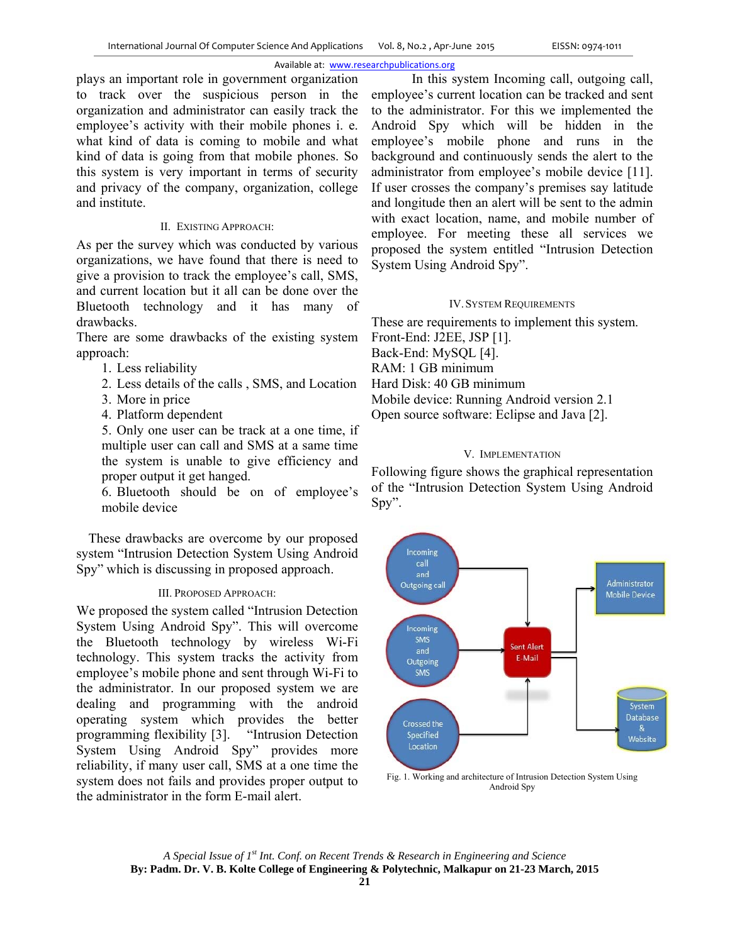### Available at: www.researchpublications.org

plays an important role in government organization to track over the suspicious person in the organization and administrator can easily track the employee's activity with their mobile phones i. e. what kind of data is coming to mobile and what kind of data is going from that mobile phones. So this system is very important in terms of security and privacy of the company, organization, college and institute.

### II. EXISTING APPROACH:

As per the survey which was conducted by various organizations, we have found that there is need to give a provision to track the employee's call, SMS, and current location but it all can be done over the Bluetooth technology and it has many of drawbacks.

There are some drawbacks of the existing system approach:

- 1. Less reliability
- 2. Less details of the calls , SMS, and Location
- 3. More in price
- 4. Platform dependent

5. Only one user can be track at a one time, if multiple user can call and SMS at a same time the system is unable to give efficiency and proper output it get hanged.

6. Bluetooth should be on of employee's mobile device

These drawbacks are overcome by our proposed system "Intrusion Detection System Using Android Spy" which is discussing in proposed approach.

### III. PROPOSED APPROACH:

We proposed the system called "Intrusion Detection System Using Android Spy". This will overcome the Bluetooth technology by wireless Wi-Fi technology. This system tracks the activity from employee's mobile phone and sent through Wi-Fi to the administrator. In our proposed system we are dealing and programming with the android operating system which provides the better programming flexibility [3]. "Intrusion Detection System Using Android Spy" provides more reliability, if many user call, SMS at a one time the system does not fails and provides proper output to the administrator in the form E-mail alert.

 In this system Incoming call, outgoing call, employee's current location can be tracked and sent to the administrator. For this we implemented the Android Spy which will be hidden in the employee's mobile phone and runs in the background and continuously sends the alert to the administrator from employee's mobile device [11]. If user crosses the company's premises say latitude and longitude then an alert will be sent to the admin with exact location, name, and mobile number of employee. For meeting these all services we proposed the system entitled "Intrusion Detection System Using Android Spy".

### IV.SYSTEM REQUIREMENTS

These are requirements to implement this system. Front-End: J2EE, JSP [1]. Back-End: MySQL [4]. RAM: 1 GB minimum Hard Disk: 40 GB minimum Mobile device: Running Android version 2.1 Open source software: Eclipse and Java [2].

## V. IMPLEMENTATION

Following figure shows the graphical representation of the "Intrusion Detection System Using Android Spy".



Fig. 1. Working and architecture of Intrusion Detection System Using Android Spy

*A Special Issue of 1st Int. Conf. on Recent Trends & Research in Engineering and Science*  **By: Padm. Dr. V. B. Kolte College of Engineering & Polytechnic, Malkapur on 21-23 March, 2015**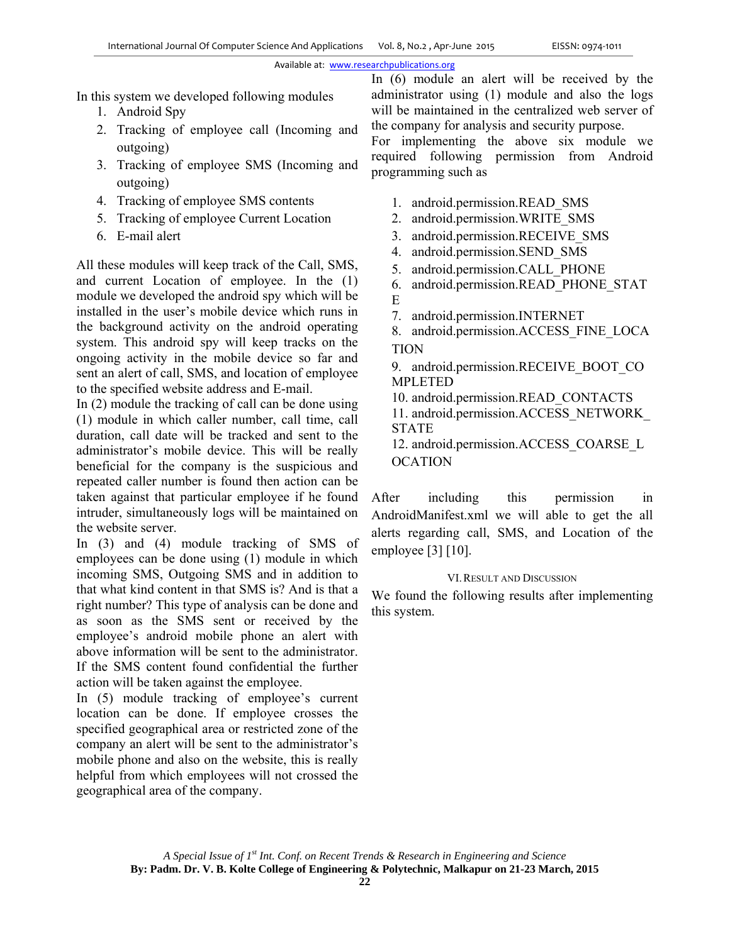### Available at: www.researchpublications.org

In this system we developed following modules

- 1. Android Spy
- 2. Tracking of employee call (Incoming and outgoing)
- 3. Tracking of employee SMS (Incoming and outgoing)
- 4. Tracking of employee SMS contents
- 5. Tracking of employee Current Location
- 6. E-mail alert

All these modules will keep track of the Call, SMS, and current Location of employee. In the (1) module we developed the android spy which will be installed in the user's mobile device which runs in the background activity on the android operating system. This android spy will keep tracks on the ongoing activity in the mobile device so far and sent an alert of call, SMS, and location of employee to the specified website address and E-mail.

In (2) module the tracking of call can be done using (1) module in which caller number, call time, call duration, call date will be tracked and sent to the administrator's mobile device. This will be really beneficial for the company is the suspicious and repeated caller number is found then action can be taken against that particular employee if he found intruder, simultaneously logs will be maintained on the website server.

In (3) and (4) module tracking of SMS of employees can be done using (1) module in which incoming SMS, Outgoing SMS and in addition to that what kind content in that SMS is? And is that a right number? This type of analysis can be done and as soon as the SMS sent or received by the employee's android mobile phone an alert with above information will be sent to the administrator. If the SMS content found confidential the further action will be taken against the employee.

In (5) module tracking of employee's current location can be done. If employee crosses the specified geographical area or restricted zone of the company an alert will be sent to the administrator's mobile phone and also on the website, this is really helpful from which employees will not crossed the geographical area of the company.

In (6) module an alert will be received by the administrator using (1) module and also the logs will be maintained in the centralized web server of the company for analysis and security purpose.

For implementing the above six module we required following permission from Android programming such as

- 1. android.permission.READ\_SMS
- 2. android.permission.WRITE\_SMS
- 3. android.permission.RECEIVE\_SMS
- 4. android.permission.SEND\_SMS
- 5. android.permission.CALL\_PHONE
- 6. android.permission.READ\_PHONE\_STAT E
- 7. android.permission.INTERNET

8. android.permission.ACCESS\_FINE\_LOCA TION

9. android.permission.RECEIVE\_BOOT\_CO MPLETED

10. android.permission.READ\_CONTACTS

11. android.permission.ACCESS\_NETWORK\_ STATE

12. android.permission.ACCESS\_COARSE\_L **OCATION** 

After including this permission in AndroidManifest.xml we will able to get the all alerts regarding call, SMS, and Location of the employee [3] [10].

### VI.RESULT AND DISCUSSION

We found the following results after implementing this system.

*A Special Issue of 1st Int. Conf. on Recent Trends & Research in Engineering and Science*  **By: Padm. Dr. V. B. Kolte College of Engineering & Polytechnic, Malkapur on 21-23 March, 2015**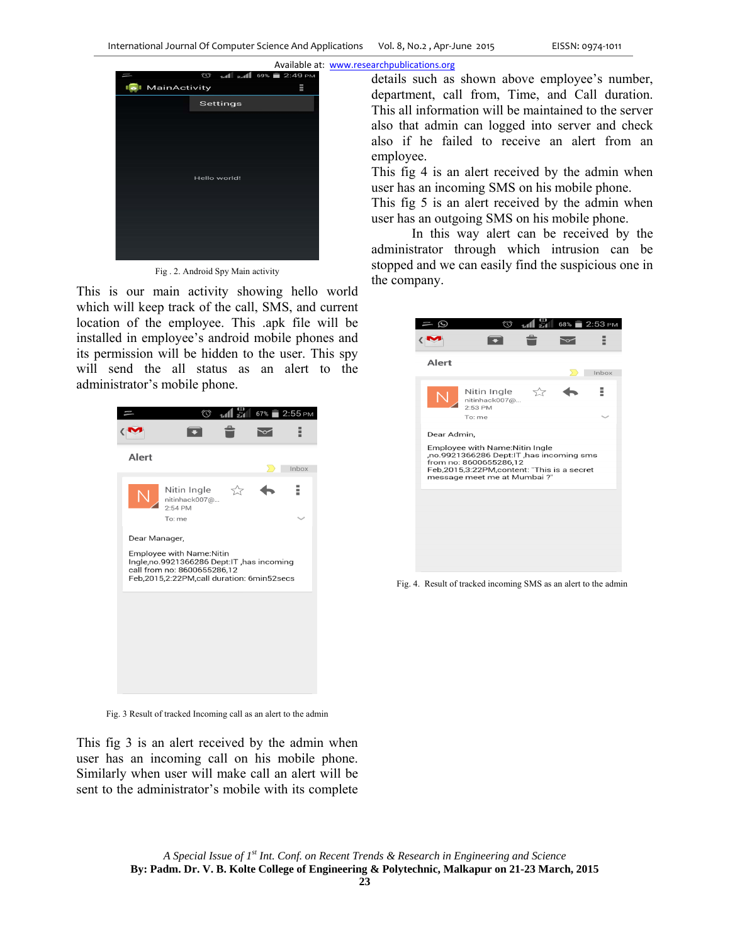

Fig . 2. Android Spy Main activity

This is our main activity showing hello world which will keep track of the call, SMS, and current location of the employee. This .apk file will be installed in employee's android mobile phones and its permission will be hidden to the user. This spy will send the all status as an alert to the administrator's mobile phone.



Fig. 3 Result of tracked Incoming call as an alert to the admin

This fig 3 is an alert received by the admin when user has an incoming call on his mobile phone. Similarly when user will make call an alert will be sent to the administrator's mobile with its complete

> *A Special Issue of 1st Int. Conf. on Recent Trends & Research in Engineering and Science*  **By: Padm. Dr. V. B. Kolte College of Engineering & Polytechnic, Malkapur on 21-23 March, 2015**

details such as shown above employee's number, department, call from, Time, and Call duration. This all information will be maintained to the server also that admin can logged into server and check also if he failed to receive an alert from an employee.

This fig 4 is an alert received by the admin when user has an incoming SMS on his mobile phone.

This fig 5 is an alert received by the admin when user has an outgoing SMS on his mobile phone.

 In this way alert can be received by the administrator through which intrusion can be stopped and we can easily find the suspicious one in the company.



Fig. 4. Result of tracked incoming SMS as an alert to the admin